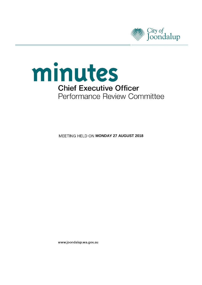



**MEETING HELD ON MONDAY 27 AUGUST 2018** 

www.joondalup.wa.gov.au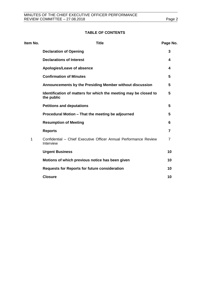## **TABLE OF CONTENTS**

| Item No. | <b>Title</b>                                                                   | Page No. |
|----------|--------------------------------------------------------------------------------|----------|
|          | <b>Declaration of Opening</b>                                                  | 3        |
|          | <b>Declarations of Interest</b>                                                | 4        |
|          | Apologies/Leave of absence                                                     | 4        |
|          | <b>Confirmation of Minutes</b>                                                 | 5        |
|          | Announcements by the Presiding Member without discussion                       | 5        |
|          | Identification of matters for which the meeting may be closed to<br>the public | 5        |
|          | <b>Petitions and deputations</b>                                               | 5        |
|          | Procedural Motion – That the meeting be adjourned                              | 5        |
|          | <b>Resumption of Meeting</b>                                                   | 6        |
|          | <b>Reports</b>                                                                 | 7        |
| 1        | Confidential - Chief Executive Officer Annual Performance Review<br>Interview  | 7        |
|          | <b>Urgent Business</b>                                                         | 10       |
|          | Motions of which previous notice has been given                                | 10       |
|          | <b>Requests for Reports for future consideration</b>                           | 10       |
|          | <b>Closure</b>                                                                 | 10       |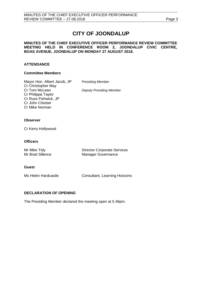# **CITY OF JOONDALUP**

#### **MINUTES OF THE CHIEF EXECUTIVE OFFICER PERFORMANCE REVIEW COMMITTEE MEETING HELD IN CONFERENCE ROOM 2, JOONDALUP CIVIC CENTRE, BOAS AVENUE, JOONDALUP ON MONDAY 27 AUGUST 2018.**

## **ATTENDANCE**

## **Committee Members**

Mayor Hon. Albert Jacob, JP *Presiding Member* Cr Christopher May Cr Tom McLean *Deputy Presiding Member* Cr Philippa Taylor Cr Russ Fishwick, JP Cr John Chester Cr Mike Norman

## **Observer**

Cr Kerry Hollywood

## **Officers**

| Mr Mike Tidy     | <b>Director Corporate Services</b> |
|------------------|------------------------------------|
| Mr Brad Sillence | <b>Manager Governance</b>          |

#### **Guest**

Ms Helen Hardcastle **Consultant, Learning Horizons** 

## <span id="page-2-0"></span>**DECLARATION OF OPENING**

The Presiding Member declared the meeting open at 5.46pm.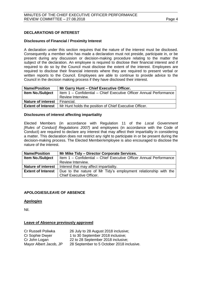## <span id="page-3-0"></span>**DECLARATIONS OF INTEREST**

## **Disclosures of Financial / Proximity Interest**

A declaration under this section requires that the nature of the interest must be disclosed. Consequently a member who has made a declaration must not preside, participate in, or be present during any discussion or decision-making procedure relating to the matter the subject of the declaration. An employee is required to disclose their financial interest and if required to do so by the Council must disclose the extent of the interest. Employees are required to disclose their financial interests where they are required to present verbal or written reports to the Council. Employees are able to continue to provide advice to the Council in the decision making process if they have disclosed their interest.

| <b>Name/Position</b>      | Mr Garry Hunt - Chief Executive Officer.                           |  |
|---------------------------|--------------------------------------------------------------------|--|
| <b>Item No./Subject</b>   | Item 1 - Confidential - Chief Executive Officer Annual Performance |  |
|                           | Review Interview.                                                  |  |
| <b>Nature of interest</b> | Financial.                                                         |  |
| <b>Extent of Interest</b> | Mr Hunt holds the position of Chief Executive Officer.             |  |

#### **Disclosures of interest affecting impartiality**

Elected Members (in accordance with Regulation 11 of the *Local Government [Rules of Conduct] Regulations 2007)* and employees (in accordance with the Code of Conduct) are required to declare any interest that may affect their impartiality in considering a matter. This declaration does not restrict any right to participate in or be present during the decision-making process. The Elected Member/employee is also encouraged to disclose the nature of the interest.

| <b>Name/Position</b>      | Mr Mike Tidy - Director Corporate Services.                        |  |  |
|---------------------------|--------------------------------------------------------------------|--|--|
| <b>Item No./Subject</b>   | Item 1 - Confidential - Chief Executive Officer Annual Performance |  |  |
|                           | Review Interview.                                                  |  |  |
| <b>Nature of interest</b> | Interest that may affect impartiality.                             |  |  |
| <b>Extent of Interest</b> | Due to the nature of Mr Tidy's employment relationship with the    |  |  |
|                           | <b>Chief Executive Officer.</b>                                    |  |  |

## <span id="page-3-1"></span>**APOLOGIES/LEAVE OF ABSENCE**

## **Apologies**

Nil.

#### **Leave of Absence previously approved**

<span id="page-3-2"></span>

| Cr Russell Poliwka     | 26 July to 28 August 2018 inclusive;      |
|------------------------|-------------------------------------------|
| Cr Sophie Dwyer        | 1 to 30 September 2018 inclusive;         |
| Cr John Logan          | 22 to 28 September 2018 inclusive;        |
| Mayor Albert Jacob, JP | 28 September to 5 October 2018 inclusive. |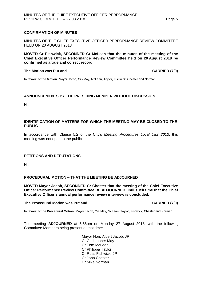## **CONFIRMATION OF MINUTES**

MINUTES OF THE CHIEF EXECUTIVE OFFICER PERFORMANCE REVIEW COMMITTEE HELD ON 20 AUGUST 2018

**MOVED Cr Fishwick, SECONDED Cr McLean that the minutes of the meeting of the Chief Executive Officer Performance Review Committee held on 20 August 2018 be confirmed as a true and correct record.**

#### **The Motion was Put and CARRIED (7/0)**

**In favour of the Motion:** Mayor Jacob, Crs May, McLean, Taylor, Fishwick, Chester and Norman.

## **ANNOUNCEMENTS BY THE PRESIDING MEMBER WITHOUT DISCUSSION**

Nil.

#### <span id="page-4-0"></span>**IDENTIFICATION OF MATTERS FOR WHICH THE MEETING MAY BE CLOSED TO THE PUBLIC**

In accordance with Clause 5.2 of the City's *Meeting Procedures Local Law 2013*, this meeting was not open to the public.

## <span id="page-4-1"></span>**PETITIONS AND DEPUTATIONS**

Nil.

#### **PROCEDURAL MOTION – THAT THE MEETING BE ADJOURNED**

**MOVED Mayor Jacob, SECONDED Cr Chester that the meeting of the Chief Executive Officer Performance Review Committee BE ADJOURNED until such time that the Chief Executive Officer's annual performance review interview is concluded.** 

#### **The Procedural Motion was Put and CARRIED (7/0)**

**In favour of the Procedural Motion:** Mayor Jacob, Crs May, McLean, Taylor, Fishwick, Chester and Norman.

The meeting **ADJOURNED** at 5.56pm on Monday 27 August 2018, with the following Committee Members being present at that time:

> Mayor Hon. Albert Jacob, JP Cr Christopher May Cr Tom McLean Cr Philippa Taylor Cr Russ Fishwick, JP Cr John Chester Cr Mike Norman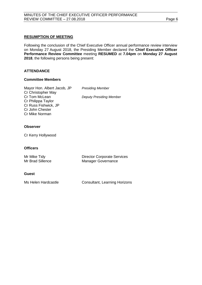## **RESUMPTION OF MEETING**

Following the conclusion of the Chief Executive Officer annual performance review interview on Monday 27 August 2018, the Presiding Member declared the **Chief Executive Officer Performance Review Committee** meeting **RESUMED** at **7.04pm** on **Monday 27 August 2018**, the following persons being present:

## **ATTENDANCE**

#### **Committee Members**

Mayor Hon. Albert Jacob, JP *Presiding Member* Cr Christopher May<br>Cr Tom McLean Cr Philippa Taylor Cr Russ Fishwick, JP Cr John Chester Cr Mike Norman

**Deputy Presiding Member** 

### **Observer**

Cr Kerry Hollywood

#### **Officers**

| Mr Mike Tidy     | <b>Director Corporate Services</b> |
|------------------|------------------------------------|
| Mr Brad Sillence | Manager Governance                 |
|                  |                                    |

#### **Guest**

Ms Helen Hardcastle **Consultant, Learning Horizons**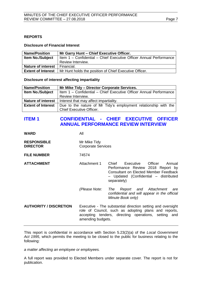## <span id="page-6-0"></span>**REPORTS**

#### **Disclosure of Financial Interest**

| <b>Name/Position</b>      | Mr Garry Hunt - Chief Executive Officer.                           |  |
|---------------------------|--------------------------------------------------------------------|--|
| <b>Item No./Subject</b>   | Item 1 - Confidential - Chief Executive Officer Annual Performance |  |
|                           | Review Interview.                                                  |  |
| <b>Nature of interest</b> | Financial.                                                         |  |
| <b>Extent of Interest</b> | Mr Hunt holds the position of Chief Executive Officer.             |  |

#### **Disclosure of interest affecting impartiality**

| <b>Name/Position</b>      | Mr Mike Tidy - Director Corporate Services.                        |  |  |
|---------------------------|--------------------------------------------------------------------|--|--|
| <b>Item No./Subject</b>   | Item 1 - Confidential - Chief Executive Officer Annual Performance |  |  |
|                           | Review Interview.                                                  |  |  |
| <b>Nature of interest</b> | Interest that may affect impartiality.                             |  |  |
| <b>Extent of Interest</b> | Due to the nature of Mr Tidy's employment relationship with the    |  |  |
|                           | <b>Chief Executive Officer.</b>                                    |  |  |

## <span id="page-6-1"></span>**ITEM 1 CONFIDENTIAL - CHIEF EXECUTIVE OFFICER ANNUAL PERFORMANCE REVIEW INTERVIEW**

**WARD** All

| <b>RESPONSIBLE</b> | Mr Mike Tidy              |
|--------------------|---------------------------|
| <b>DIRECTOR</b>    | <b>Corporate Services</b> |

**FILE NUMBER** 74574

**ATTACHMENT Attachment 1** Chief Executive Officer Annual Performance Review 2018 Report by Consultant on Elected Member Feedback – Updated (Confidential – distributed separately)

> *(Please Note: The Report and Attachment are confidential and will appear in the official Minute Book only)*

**AUTHORITY / DISCRETION** Executive - The substantial direction setting and oversight role of Council, such as adopting plans and reports, accepting tenders, directing operations, setting and amending budgets.

This report is confidential in accordance with Section 5.23(2)(a) of the *Local Government Act 1995*, which permits the meeting to be closed to the public for business relating to the following:

*a matter affecting an employee or employees.*

A full report was provided to Elected Members under separate cover. The report is not for publication.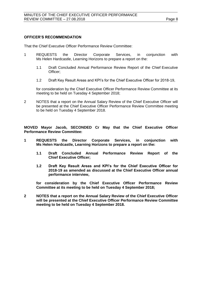## **OFFICER'S RECOMMENDATION**

That the Chief Executive Officer Performance Review Committee:

- 1 REQUESTS the Director Corporate Services, in conjunction with Ms Helen Hardcastle, Learning Horizons to prepare a report on the:
	- 1.1 Draft Concluded Annual Performance Review Report of the Chief Executive Officer;
	- 1.2 Draft Key Result Areas and KPI's for the Chief Executive Officer for 2018-19,

for consideration by the Chief Executive Officer Performance Review Committee at its meeting to be held on Tuesday 4 September 2018;

2 NOTES that a report on the Annual Salary Review of the Chief Executive Officer will be presented at the Chief Executive Officer Performance Review Committee meeting to be held on Tuesday 4 September 2018.

**MOVED Mayor Jacob, SECONDED Cr May that the Chief Executive Officer Performance Review Committee:**

- **1 REQUESTS the Director Corporate Services, in conjunction with Ms Helen Hardcastle, Learning Horizons to prepare a report on the:**
	- **1.1 Draft Concluded Annual Performance Review Report of the Chief Executive Officer;**
	- **1.2 Draft Key Result Areas and KPI's for the Chief Executive Officer for 2018-19 as amended as discussed at the Chief Executive Officer annual performance interview,**

**for consideration by the Chief Executive Officer Performance Review Committee at its meeting to be held on Tuesday 4 September 2018;**

**2 NOTES that a report on the Annual Salary Review of the Chief Executive Officer will be presented at the Chief Executive Officer Performance Review Committee meeting to be held on Tuesday 4 September 2018.**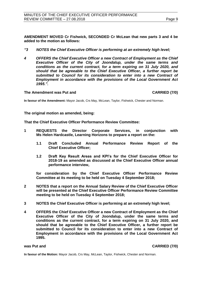**AMENDMENT MOVED Cr Fishwick, SECONDED Cr McLean that new parts 3 and 4 be added to the motion as follows:**

- *"3 NOTES the Chief Executive Officer is performing at an extremely high level;*
- *4 OFFERS the Chief Executive Officer a new Contract of Employment as the Chief Executive Officer of the City of Joondalup, under the same terms and conditions as the current contract, for a term expiring on 31 July 2020, and should that be agreeable to the Chief Executive Officer, a further report be*  submitted to Council for its consideration to enter into a new Contract of *Employment in accordance with the provisions of the Local Government Act 1995.".*

#### **The Amendment was Put and CARRIED (7/0)**

**In favour of the Amendment:** Mayor Jacob, Crs May, McLean, Taylor, Fishwick, Chester and Norman.

**The original motion as amended, being:**

**That the Chief Executive Officer Performance Review Committee:**

- **1 REQUESTS the Director Corporate Services, in conjunction with Ms Helen Hardcastle, Learning Horizons to prepare a report on the:**
	- **1.1 Draft Concluded Annual Performance Review Report of the Chief Executive Officer;**
	- **1.2 Draft Key Result Areas and KPI's for the Chief Executive Officer for 2018-19 as amended as discussed at the Chief Executive Officer annual performance interview,**

**for consideration by the Chief Executive Officer Performance Review Committee at its meeting to be held on Tuesday 4 September 2018;**

- **2 NOTES that a report on the Annual Salary Review of the Chief Executive Officer will be presented at the Chief Executive Officer Performance Review Committee meeting to be held on Tuesday 4 September 2018;**
- **3 NOTES the Chief Executive Officer is performing at an extremely high level;**
- **4 OFFERS the Chief Executive Officer a new Contract of Employment as the Chief Executive Officer of the City of Joondalup, under the same terms and conditions as the current contract, for a term expiring on 31 July 2020, and should that be agreeable to the Chief Executive Officer, a further report be submitted to Council for its consideration to enter into a new Contract of Employment in accordance with the provisions of the Local Government Act 1995.**

**was Put and CARRIED (7/0)**

<span id="page-8-0"></span>**In favour of the Motion:** Mayor Jacob, Crs May, McLean, Taylor, Fishwick, Chester and Norman.